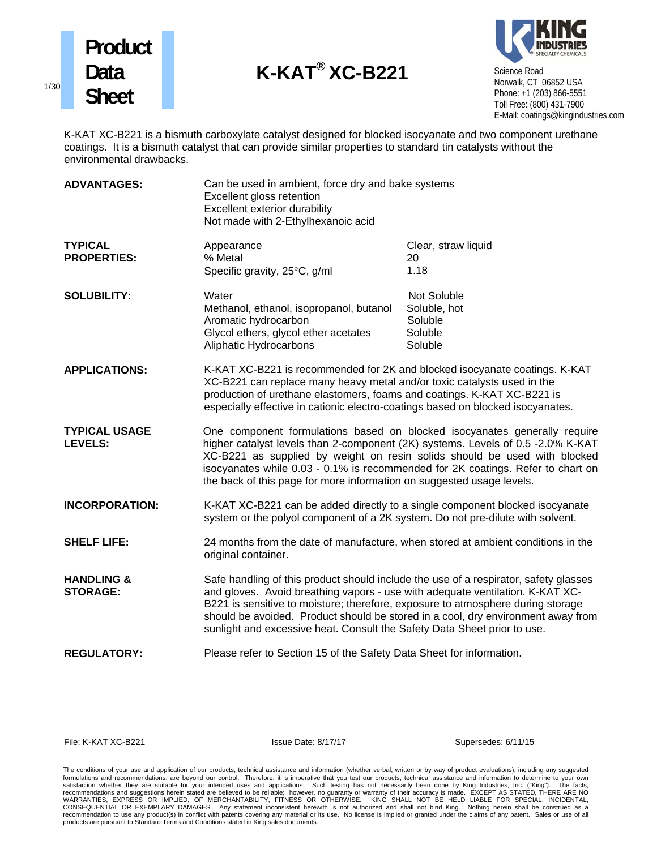





Science Road Norwalk, CT 06852 USA Phone: +1 (203) 866-5551 Toll Free: (800) 431-7900 E-Mail: coatings@kingindustries.com

 K-KAT XC-B221 is a bismuth carboxylate catalyst designed for blocked isocyanate and two component urethane coatings. It is a bismuth catalyst that can provide similar properties to standard tin catalysts without the environmental drawbacks.

| <b>ADVANTAGES:</b>                       | Can be used in ambient, force dry and bake systems<br>Excellent gloss retention<br>Excellent exterior durability<br>Not made with 2-Ethylhexanoic acid                                                                                                                                                                                                                                                                   |                                                              |
|------------------------------------------|--------------------------------------------------------------------------------------------------------------------------------------------------------------------------------------------------------------------------------------------------------------------------------------------------------------------------------------------------------------------------------------------------------------------------|--------------------------------------------------------------|
| <b>TYPICAL</b><br><b>PROPERTIES:</b>     | Appearance<br>% Metal<br>Specific gravity, 25°C, g/ml                                                                                                                                                                                                                                                                                                                                                                    | Clear, straw liquid<br>20<br>1.18                            |
| <b>SOLUBILITY:</b>                       | Water<br>Methanol, ethanol, isopropanol, butanol<br>Aromatic hydrocarbon<br>Glycol ethers, glycol ether acetates<br>Aliphatic Hydrocarbons                                                                                                                                                                                                                                                                               | Not Soluble<br>Soluble, hot<br>Soluble<br>Soluble<br>Soluble |
| <b>APPLICATIONS:</b>                     | K-KAT XC-B221 is recommended for 2K and blocked isocyanate coatings. K-KAT<br>XC-B221 can replace many heavy metal and/or toxic catalysts used in the<br>production of urethane elastomers, foams and coatings. K-KAT XC-B221 is<br>especially effective in cationic electro-coatings based on blocked isocyanates.                                                                                                      |                                                              |
| <b>TYPICAL USAGE</b><br><b>LEVELS:</b>   | One component formulations based on blocked isocyanates generally require<br>higher catalyst levels than 2-component (2K) systems. Levels of 0.5 -2.0% K-KAT<br>XC-B221 as supplied by weight on resin solids should be used with blocked<br>isocyanates while 0.03 - 0.1% is recommended for 2K coatings. Refer to chart on<br>the back of this page for more information on suggested usage levels.                    |                                                              |
| <b>INCORPORATION:</b>                    | K-KAT XC-B221 can be added directly to a single component blocked isocyanate<br>system or the polyol component of a 2K system. Do not pre-dilute with solvent.                                                                                                                                                                                                                                                           |                                                              |
| <b>SHELF LIFE:</b>                       | 24 months from the date of manufacture, when stored at ambient conditions in the<br>original container.                                                                                                                                                                                                                                                                                                                  |                                                              |
| <b>HANDLING &amp;</b><br><b>STORAGE:</b> | Safe handling of this product should include the use of a respirator, safety glasses<br>and gloves. Avoid breathing vapors - use with adequate ventilation. K-KAT XC-<br>B221 is sensitive to moisture; therefore, exposure to atmosphere during storage<br>should be avoided. Product should be stored in a cool, dry environment away from<br>sunlight and excessive heat. Consult the Safety Data Sheet prior to use. |                                                              |
| <b>REGULATORY:</b>                       | Please refer to Section 15 of the Safety Data Sheet for information.                                                                                                                                                                                                                                                                                                                                                     |                                                              |

File: K-KAT XC-B221 **ISSUE Date: 8/17/17** Supersedes: 6/11/15

The conditions of your use and application of our products, technical assistance and information (whether verbal, written or by way of product evaluations), including any suggested formulations and recommendations, are beyond our control. Therefore, it is imperative that you test our products, technical assistance and information to determine to your own<br>satisfaction whether they are suitable for you products are pursuant to Standard Terms and Conditions stated in King sales documents.